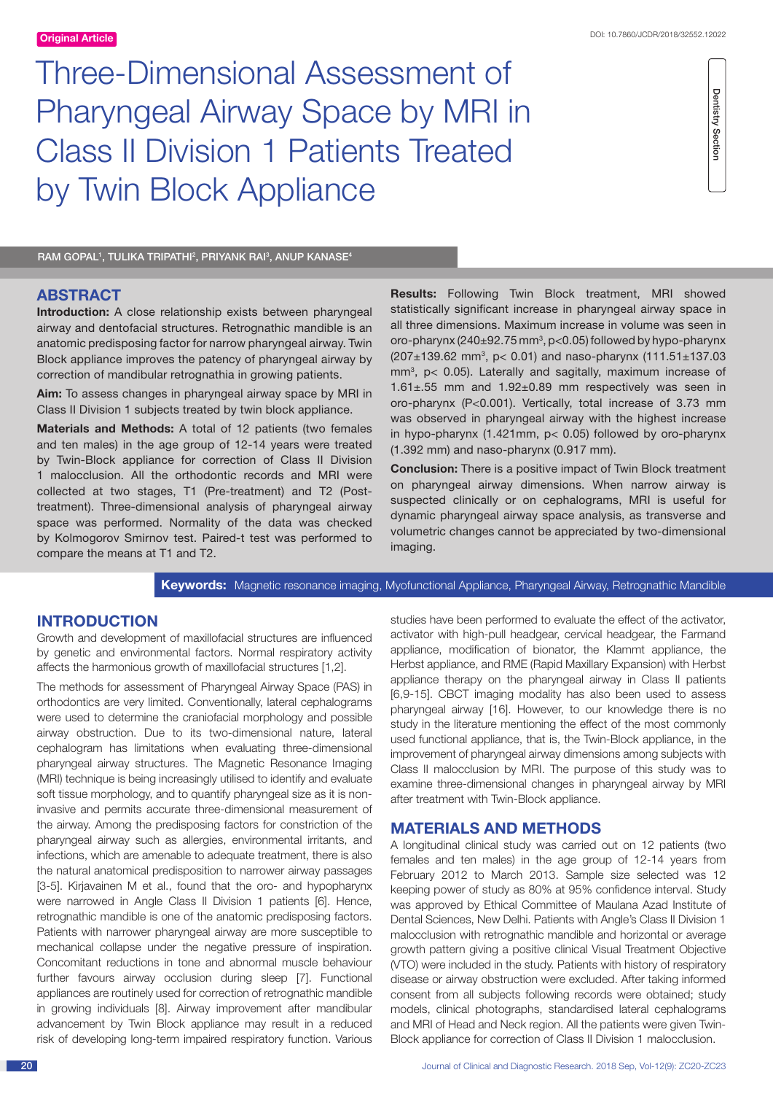Three-Dimensional Assessment of Pharyngeal Airway Space by MRI in Class II Division 1 Patients Treated by Twin Block Appliance

**Dentistry Section** Dentistry Section

RAM GOPAL<sup>1</sup>, TULIKA TRIPATHI<sup>2</sup>, PRIYANK RAI<sup>3</sup>, ANUP KANASE<sup>4</sup>

# **ABSTRACT**

**Introduction:** A close relationship exists between pharyngeal airway and dentofacial structures. Retrognathic mandible is an anatomic predisposing factor for narrow pharyngeal airway. Twin Block appliance improves the patency of pharyngeal airway by correction of mandibular retrognathia in growing patients.

**Aim:** To assess changes in pharyngeal airway space by MRI in Class II Division 1 subjects treated by twin block appliance.

**Materials and Methods:** A total of 12 patients (two females and ten males) in the age group of 12-14 years were treated by Twin-Block appliance for correction of Class II Division 1 malocclusion. All the orthodontic records and MRI were collected at two stages, T1 (Pre-treatment) and T2 (Posttreatment). Three-dimensional analysis of pharyngeal airway space was performed. Normality of the data was checked by Kolmogorov Smirnov test. Paired-t test was performed to compare the means at T1 and T2.

**Results:** Following Twin Block treatment, MRI showed statistically significant increase in pharyngeal airway space in all three dimensions. Maximum increase in volume was seen in oro-pharynx ( $240\pm92.75$  mm<sup>3</sup>, p<0.05) followed by hypo-pharynx  $(207 \pm 139.62 \text{ mm}^3, \text{ p} < 0.01)$  and naso-pharynx  $(111.51 \pm 137.03 \text{ m})$ mm3 , p< 0.05). Laterally and sagitally, maximum increase of 1.61±.55 mm and 1.92±0.89 mm respectively was seen in oro-pharynx (P<0.001). Vertically, total increase of 3.73 mm was observed in pharyngeal airway with the highest increase in hypo-pharynx (1.421mm, p< 0.05) followed by oro-pharynx (1.392 mm) and naso-pharynx (0.917 mm).

**Conclusion:** There is a positive impact of Twin Block treatment on pharyngeal airway dimensions. When narrow airway is suspected clinically or on cephalograms, MRI is useful for dynamic pharyngeal airway space analysis, as transverse and volumetric changes cannot be appreciated by two-dimensional imaging.

**Keywords:** Magnetic resonance imaging, Myofunctional Appliance, Pharyngeal Airway, Retrognathic Mandible

# **INTRODUCTION**

Growth and development of maxillofacial structures are influenced by genetic and environmental factors. Normal respiratory activity affects the harmonious growth of maxillofacial structures [1,2].

The methods for assessment of Pharyngeal Airway Space (PAS) in orthodontics are very limited. Conventionally, lateral cephalograms were used to determine the craniofacial morphology and possible airway obstruction. Due to its two-dimensional nature, lateral cephalogram has limitations when evaluating three-dimensional pharyngeal airway structures. The Magnetic Resonance Imaging (MRI) technique is being increasingly utilised to identify and evaluate soft tissue morphology, and to quantify pharyngeal size as it is noninvasive and permits accurate three-dimensional measurement of the airway. Among the predisposing factors for constriction of the pharyngeal airway such as allergies, environmental irritants, and infections, which are amenable to adequate treatment, there is also the natural anatomical predisposition to narrower airway passages [3-5]. Kirjavainen M et al., found that the oro- and hypopharynx were narrowed in Angle Class II Division 1 patients [6]. Hence, retrognathic mandible is one of the anatomic predisposing factors. Patients with narrower pharyngeal airway are more susceptible to mechanical collapse under the negative pressure of inspiration. Concomitant reductions in tone and abnormal muscle behaviour further favours airway occlusion during sleep [7]. Functional appliances are routinely used for correction of retrognathic mandible in growing individuals [8]. Airway improvement after mandibular advancement by Twin Block appliance may result in a reduced risk of developing long-term impaired respiratory function. Various studies have been performed to evaluate the effect of the activator, activator with high-pull headgear, cervical headgear, the Farmand appliance, modification of bionator, the Klammt appliance, the Herbst appliance, and RME (Rapid Maxillary Expansion) with Herbst appliance therapy on the pharyngeal airway in Class II patients [6,9-15]. CBCT imaging modality has also been used to assess pharyngeal airway [16]. However, to our knowledge there is no study in the literature mentioning the effect of the most commonly used functional appliance, that is, the Twin-Block appliance, in the improvement of pharyngeal airway dimensions among subjects with Class II malocclusion by MRI. The purpose of this study was to examine three-dimensional changes in pharyngeal airway by MRI after treatment with Twin-Block appliance.

# **MATERIALS AND METHODS**

A longitudinal clinical study was carried out on 12 patients (two females and ten males) in the age group of 12-14 years from February 2012 to March 2013. Sample size selected was 12 keeping power of study as 80% at 95% confidence interval. Study was approved by Ethical Committee of Maulana Azad Institute of Dental Sciences, New Delhi. Patients with Angle's Class II Division 1 malocclusion with retrognathic mandible and horizontal or average growth pattern giving a positive clinical Visual Treatment Objective (VTO) were included in the study. Patients with history of respiratory disease or airway obstruction were excluded. After taking informed consent from all subjects following records were obtained; study models, clinical photographs, standardised lateral cephalograms and MRI of Head and Neck region. All the patients were given Twin-Block appliance for correction of Class II Division 1 malocclusion.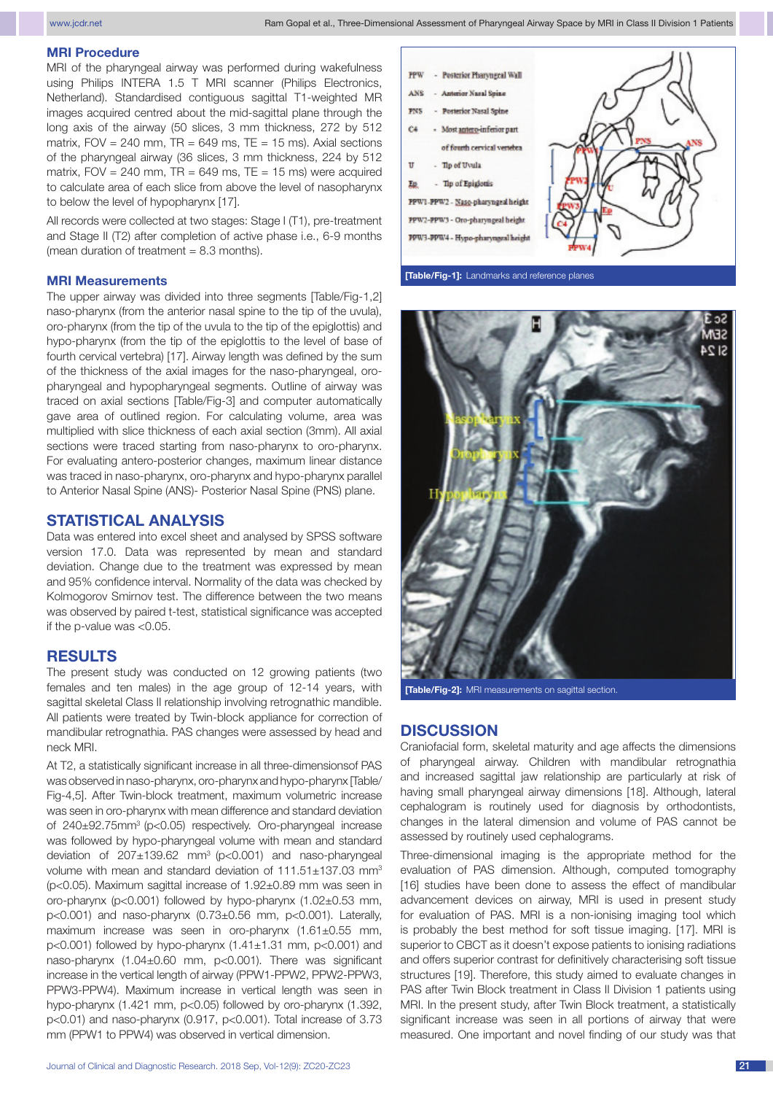### **MRI Procedure**

MRI of the pharyngeal airway was performed during wakefulness using Philips INTERA 1.5 T MRI scanner (Philips Electronics, Netherland). Standardised contiguous sagittal T1-weighted MR images acquired centred about the mid-sagittal plane through the long axis of the airway (50 slices, 3 mm thickness, 272 by 512 matrix,  $FOV = 240$  mm,  $TR = 649$  ms,  $TE = 15$  ms). Axial sections of the pharyngeal airway (36 slices, 3 mm thickness, 224 by 512 matrix,  $FOV = 240$  mm,  $TR = 649$  ms,  $TE = 15$  ms) were acquired to calculate area of each slice from above the level of nasopharynx to below the level of hypopharynx [17].

All records were collected at two stages: Stage I (T1), pre-treatment and Stage II (T2) after completion of active phase i.e., 6-9 months (mean duration of treatment  $= 8.3$  months).

#### **MRI Measurements**

The upper airway was divided into three segments [Table/Fig-1,2] naso-pharynx (from the anterior nasal spine to the tip of the uvula), oro-pharynx (from the tip of the uvula to the tip of the epiglottis) and hypo-pharynx (from the tip of the epiglottis to the level of base of fourth cervical vertebra) [17]. Airway length was defined by the sum of the thickness of the axial images for the naso-pharyngeal, oropharyngeal and hypopharyngeal segments. Outline of airway was traced on axial sections [Table/Fig-3] and computer automatically gave area of outlined region. For calculating volume, area was multiplied with slice thickness of each axial section (3mm). All axial sections were traced starting from naso-pharynx to oro-pharynx. For evaluating antero-posterior changes, maximum linear distance was traced in naso-pharynx, oro-pharynx and hypo-pharynx parallel to Anterior Nasal Spine (ANS)- Posterior Nasal Spine (PNS) plane.

# **STATISTICAL ANALYSIS**

Data was entered into excel sheet and analysed by SPSS software version 17.0. Data was represented by mean and standard deviation. Change due to the treatment was expressed by mean and 95% confidence interval. Normality of the data was checked by Kolmogorov Smirnov test. The difference between the two means was observed by paired t-test, statistical significance was accepted if the p-value was <0.05.

# **RESULTS**

The present study was conducted on 12 growing patients (two females and ten males) in the age group of 12-14 years, with sagittal skeletal Class II relationship involving retrognathic mandible. All patients were treated by Twin-block appliance for correction of mandibular retrognathia. PAS changes were assessed by head and neck MRI.

At T2, a statistically significant increase in all three-dimensionsof PAS was observed in naso-pharynx, oro-pharynx and hypo-pharynx [Table/ Fig-4,5]. After Twin-block treatment, maximum volumetric increase was seen in oro-pharynx with mean difference and standard deviation of 240±92.75mm3 (p<0.05) respectively. Oro-pharyngeal increase was followed by hypo-pharyngeal volume with mean and standard deviation of  $207 \pm 139.62$  mm<sup>3</sup> (p<0.001) and naso-pharyngeal volume with mean and standard deviation of 111.51±137.03 mm<sup>3</sup> (p<0.05). Maximum sagittal increase of 1.92±0.89 mm was seen in oro-pharynx (p<0.001) followed by hypo-pharynx (1.02±0.53 mm,  $p<0.001$ ) and naso-pharynx  $(0.73\pm0.56$  mm,  $p<0.001$ ). Laterally, maximum increase was seen in oro-pharynx (1.61±0.55 mm, p<0.001) followed by hypo-pharynx  $(1.41 \pm 1.31$  mm, p<0.001) and naso-pharynx (1.04±0.60 mm, p<0.001). There was significant increase in the vertical length of airway (PPW1-PPW2, PPW2-PPW3, PPW3-PPW4). Maximum increase in vertical length was seen in hypo-pharynx (1.421 mm, p<0.05) followed by oro-pharynx (1.392, p<0.01) and naso-pharynx (0.917, p<0.001). Total increase of 3.73 mm (PPW1 to PPW4) was observed in vertical dimension.



**[Table/Fig-1]:** Landmarks and reference planes



**[Table/Fig-2]:** MRI measurements on sagittal section.

### **DISCUSSION**

Craniofacial form, skeletal maturity and age affects the dimensions of pharyngeal airway. Children with mandibular retrognathia and increased sagittal jaw relationship are particularly at risk of having small pharyngeal airway dimensions [18]. Although, lateral cephalogram is routinely used for diagnosis by orthodontists, changes in the lateral dimension and volume of PAS cannot be assessed by routinely used cephalograms.

Three-dimensional imaging is the appropriate method for the evaluation of PAS dimension. Although, computed tomography [16] studies have been done to assess the effect of mandibular advancement devices on airway, MRI is used in present study for evaluation of PAS. MRI is a non-ionising imaging tool which is probably the best method for soft tissue imaging. [17]. MRI is superior to CBCT as it doesn't expose patients to ionising radiations and offers superior contrast for definitively characterising soft tissue structures [19]. Therefore, this study aimed to evaluate changes in PAS after Twin Block treatment in Class II Division 1 patients using MRI. In the present study, after Twin Block treatment, a statistically significant increase was seen in all portions of airway that were measured. One important and novel finding of our study was that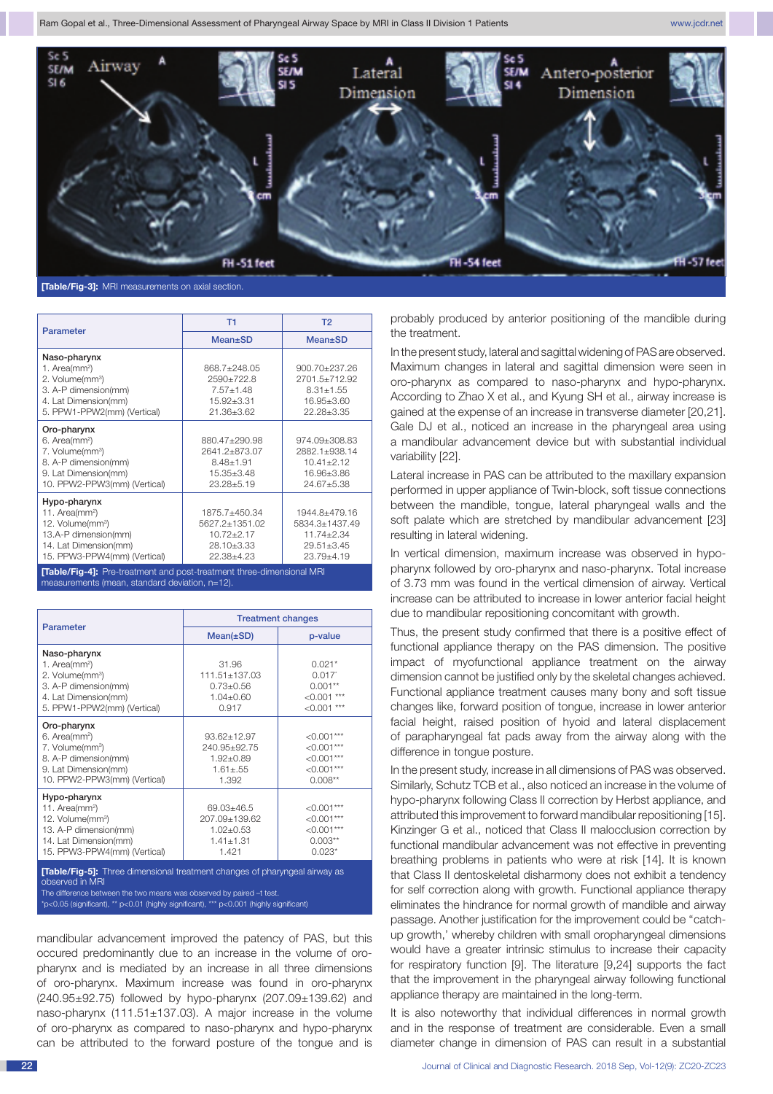

**[Table/Fig-3]:** MRI measurements on axial section.

| <b>Parameter</b>                                                                                                                                        | T1                                                                                        | T <sub>2</sub>                                                                      |
|---------------------------------------------------------------------------------------------------------------------------------------------------------|-------------------------------------------------------------------------------------------|-------------------------------------------------------------------------------------|
|                                                                                                                                                         | Mean±SD                                                                                   | <b>Mean</b> ±SD                                                                     |
| Naso-pharynx<br>1. Area( $mm2$ )<br>2. Volume(mm <sup>3</sup> )<br>3. A-P dimension(mm)<br>4. Lat Dimension(mm)<br>5. PPW1-PPW2(mm) (Vertical)          | 868.7+248.05<br>2590±722.8<br>$7.57 \pm 1.48$<br>$15.92 \pm 3.31$<br>21.36±3.62           | 900.70±237.26<br>2701.5±712.92<br>$8.31 \pm 1.55$<br>$16.95 \pm 3.60$<br>22.28±3.35 |
| Oro-pharynx<br>6. Area(mm <sup>2</sup> )<br>7. Volume(mm <sup>3</sup> )<br>8. A-P dimension(mm)<br>9. Lat Dimension(mm)<br>10. PPW2-PPW3(mm) (Vertical) | 880.47±290.98<br>2641.2±873.07<br>$8.48 \pm 1.91$<br>$15.35 \pm 3.48$<br>$23.28 \pm 5.19$ | 974.09±308.83<br>2882.1±938.14<br>$10.41 \pm 2.12$<br>16.96±3.86<br>24.67±5.38      |
| Hypo-pharynx<br>11. Area( $mm2$ )<br>12. Volume(mm <sup>3</sup> )<br>13.A-P dimension(mm)<br>14. Lat Dimension(mm)<br>15. PPW3-PPW4(mm) (Vertical)      | 1875.7+450.34<br>5627.2+1351.02<br>$10.72 \pm 2.17$<br>28.10±3.33<br>22.38+4.23           | 1944.8+479.16<br>5834.3+1437.49<br>$11.74 + 2.34$<br>$29.51 \pm 3.45$<br>23.79±4.19 |

**[Table/Fig-4]:** Pre-treatment and post-treatment three-dimensional MRI measurements (mean, standard deviation, n=12)

| Parameter                                                                                                                                                    | <b>Treatment changes</b>                                                      |                                                                          |  |
|--------------------------------------------------------------------------------------------------------------------------------------------------------------|-------------------------------------------------------------------------------|--------------------------------------------------------------------------|--|
|                                                                                                                                                              | $Mean(\pm SD)$                                                                | p-value                                                                  |  |
| Naso-pharynx<br>1. Area( $mm2$ )<br>2. Volume(mm <sup>3</sup> )<br>3. A-P dimension(mm)<br>4. Lat Dimension(mm)<br>5. PPW1-PPW2(mm) (Vertical)               | 31.96<br>111.51+137.03<br>$0.73 + 0.56$<br>$1.04 + 0.60$<br>0.917             | $0.021*$<br>0.017'<br>$0.001**$<br>$< 0.001$ ***<br>$< 0.001$ ***        |  |
| Oro-pharynx<br>6. Area(mm <sup>2</sup> )<br>7. Volume(mm <sup>3</sup> )<br>8. A-P dimension(mm)<br>9. Lat Dimension(mm)<br>10. PPW2-PPW3(mm) (Vertical)      | $93.62 \pm 12.97$<br>240.95±92.75<br>$1.92 \pm 0.89$<br>$1.61 + .55$<br>1.392 | $<0.001***$<br>$< 0.001***$<br>$< 0.001***$<br>$< 0.001***$<br>$0.008**$ |  |
| Hypo-pharynx<br>11. Area(mm <sup>2</sup> )<br>12. Volume(mm <sup>3</sup> )<br>13. A-P dimension(mm)<br>14. Lat Dimension(mm)<br>15. PPW3-PPW4(mm) (Vertical) | 69.03+46.5<br>207.09±139.62<br>$1.02 \pm 0.53$<br>$1.41 + 1.31$<br>1.421      | $< 0.001***$<br>$< 0.001***$<br>$< 0.001***$<br>$0.003**$<br>$0.023*$    |  |
| <b>[Table/Fig-5]:</b> Three dimensional treatment changes of pharyngeal airway as<br>observed in MRI                                                         |                                                                               |                                                                          |  |

nce between the two means was observed by paired –t tes

 $\approx$ 0.05 (significant), \*\* p<0.01 (highly significant), \*\*\* p<0.001 (highly significant)

mandibular advancement improved the patency of PAS, but this occured predominantly due to an increase in the volume of oropharynx and is mediated by an increase in all three dimensions of oro-pharynx. Maximum increase was found in oro-pharynx (240.95±92.75) followed by hypo-pharynx (207.09±139.62) and naso-pharynx (111.51±137.03). A major increase in the volume of oro-pharynx as compared to naso-pharynx and hypo-pharynx can be attributed to the forward posture of the tongue and is probably produced by anterior positioning of the mandible during the treatment.

In the present study, lateral and sagittal widening of PAS are observed. Maximum changes in lateral and sagittal dimension were seen in oro-pharynx as compared to naso-pharynx and hypo-pharynx. According to Zhao X et al., and Kyung SH et al., airway increase is gained at the expense of an increase in transverse diameter [20,21]. Gale DJ et al., noticed an increase in the pharyngeal area using a mandibular advancement device but with substantial individual variability [22].

Lateral increase in PAS can be attributed to the maxillary expansion performed in upper appliance of Twin-block, soft tissue connections between the mandible, tongue, lateral pharyngeal walls and the soft palate which are stretched by mandibular advancement [23] resulting in lateral widening.

In vertical dimension, maximum increase was observed in hypopharynx followed by oro-pharynx and naso-pharynx. Total increase of 3.73 mm was found in the vertical dimension of airway. Vertical increase can be attributed to increase in lower anterior facial height due to mandibular repositioning concomitant with growth.

Thus, the present study confirmed that there is a positive effect of functional appliance therapy on the PAS dimension. The positive impact of myofunctional appliance treatment on the airway dimension cannot be justified only by the skeletal changes achieved. Functional appliance treatment causes many bony and soft tissue changes like, forward position of tongue, increase in lower anterior facial height, raised position of hyoid and lateral displacement of parapharyngeal fat pads away from the airway along with the difference in tongue posture.

In the present study, increase in all dimensions of PAS was observed. Similarly, Schutz TCB et al., also noticed an increase in the volume of hypo-pharynx following Class II correction by Herbst appliance, and attributed this improvement to forward mandibular repositioning [15]. Kinzinger G et al., noticed that Class II malocclusion correction by functional mandibular advancement was not effective in preventing breathing problems in patients who were at risk [14]. It is known that Class II dentoskeletal disharmony does not exhibit a tendency for self correction along with growth. Functional appliance therapy eliminates the hindrance for normal growth of mandible and airway passage. Another justification for the improvement could be ''catchup growth,' whereby children with small oropharyngeal dimensions would have a greater intrinsic stimulus to increase their capacity for respiratory function [9]. The literature [9,24] supports the fact that the improvement in the pharyngeal airway following functional appliance therapy are maintained in the long-term.

It is also noteworthy that individual differences in normal growth and in the response of treatment are considerable. Even a small diameter change in dimension of PAS can result in a substantial